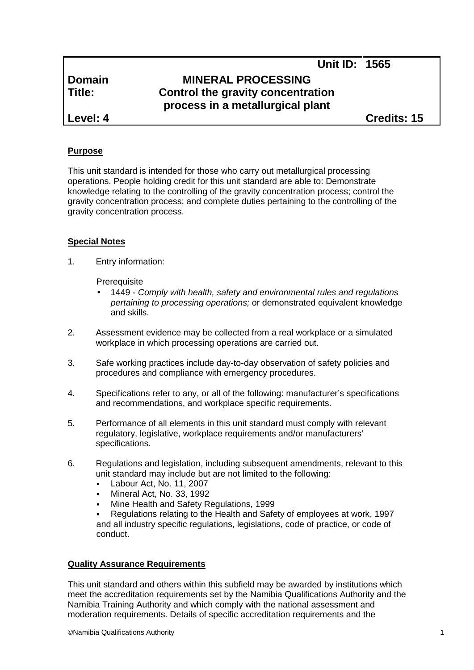# **Domain MINERAL PROCESSING Title: Control the gravity concentration process in a metallurgical plant**

**Level: 4 Credits: 15**

**Unit ID: 1565**

### **Purpose**

This unit standard is intended for those who carry out metallurgical processing operations. People holding credit for this unit standard are able to: Demonstrate knowledge relating to the controlling of the gravity concentration process; control the gravity concentration process; and complete duties pertaining to the controlling of the gravity concentration process.

#### **Special Notes**

1. Entry information:

**Prerequisite** 

- 1449 *- Comply with health, safety and environmental rules and regulations pertaining to processing operations;* or demonstrated equivalent knowledge and skills.
- 2. Assessment evidence may be collected from a real workplace or a simulated workplace in which processing operations are carried out.
- 3. Safe working practices include day-to-day observation of safety policies and procedures and compliance with emergency procedures.
- 4. Specifications refer to any, or all of the following: manufacturer's specifications and recommendations, and workplace specific requirements.
- 5. Performance of all elements in this unit standard must comply with relevant regulatory, legislative, workplace requirements and/or manufacturers' specifications.
- 6. Regulations and legislation, including subsequent amendments, relevant to this unit standard may include but are not limited to the following:
	- Labour Act, No. 11, 2007
	- Mineral Act, No. 33, 1992
	- Mine Health and Safety Regulations, 1999
	- Regulations relating to the Health and Safety of employees at work, 1997 and all industry specific regulations, legislations, code of practice, or code of conduct.

#### **Quality Assurance Requirements**

This unit standard and others within this subfield may be awarded by institutions which meet the accreditation requirements set by the Namibia Qualifications Authority and the Namibia Training Authority and which comply with the national assessment and moderation requirements. Details of specific accreditation requirements and the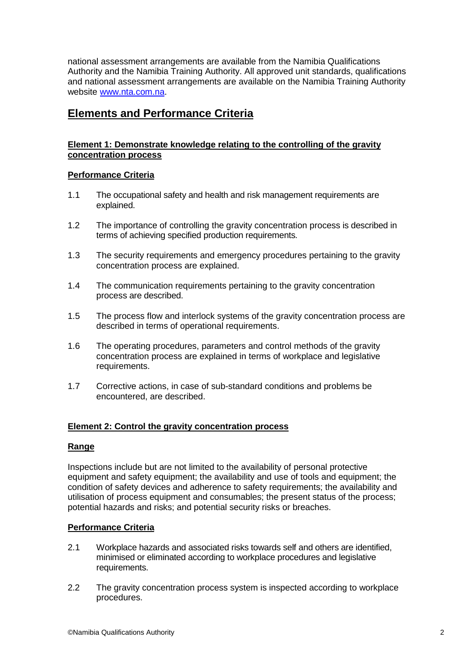national assessment arrangements are available from the Namibia Qualifications Authority and the Namibia Training Authority. All approved unit standards, qualifications and national assessment arrangements are available on the Namibia Training Authority website www.nta.com.na.

# **Elements and Performance Criteria**

### **Element 1: Demonstrate knowledge relating to the controlling of the gravity concentration process**

## **Performance Criteria**

- 1.1 The occupational safety and health and risk management requirements are explained.
- 1.2 The importance of controlling the gravity concentration process is described in terms of achieving specified production requirements.
- 1.3 The security requirements and emergency procedures pertaining to the gravity concentration process are explained.
- 1.4 The communication requirements pertaining to the gravity concentration process are described.
- 1.5 The process flow and interlock systems of the gravity concentration process are described in terms of operational requirements.
- 1.6 The operating procedures, parameters and control methods of the gravity concentration process are explained in terms of workplace and legislative requirements.
- 1.7 Corrective actions, in case of sub-standard conditions and problems be encountered, are described.

#### **Element 2: Control the gravity concentration process**

#### **Range**

Inspections include but are not limited to the availability of personal protective equipment and safety equipment; the availability and use of tools and equipment; the condition of safety devices and adherence to safety requirements; the availability and utilisation of process equipment and consumables; the present status of the process; potential hazards and risks; and potential security risks or breaches.

## **Performance Criteria**

- 2.1 Workplace hazards and associated risks towards self and others are identified, minimised or eliminated according to workplace procedures and legislative requirements.
- 2.2 The gravity concentration process system is inspected according to workplace procedures.